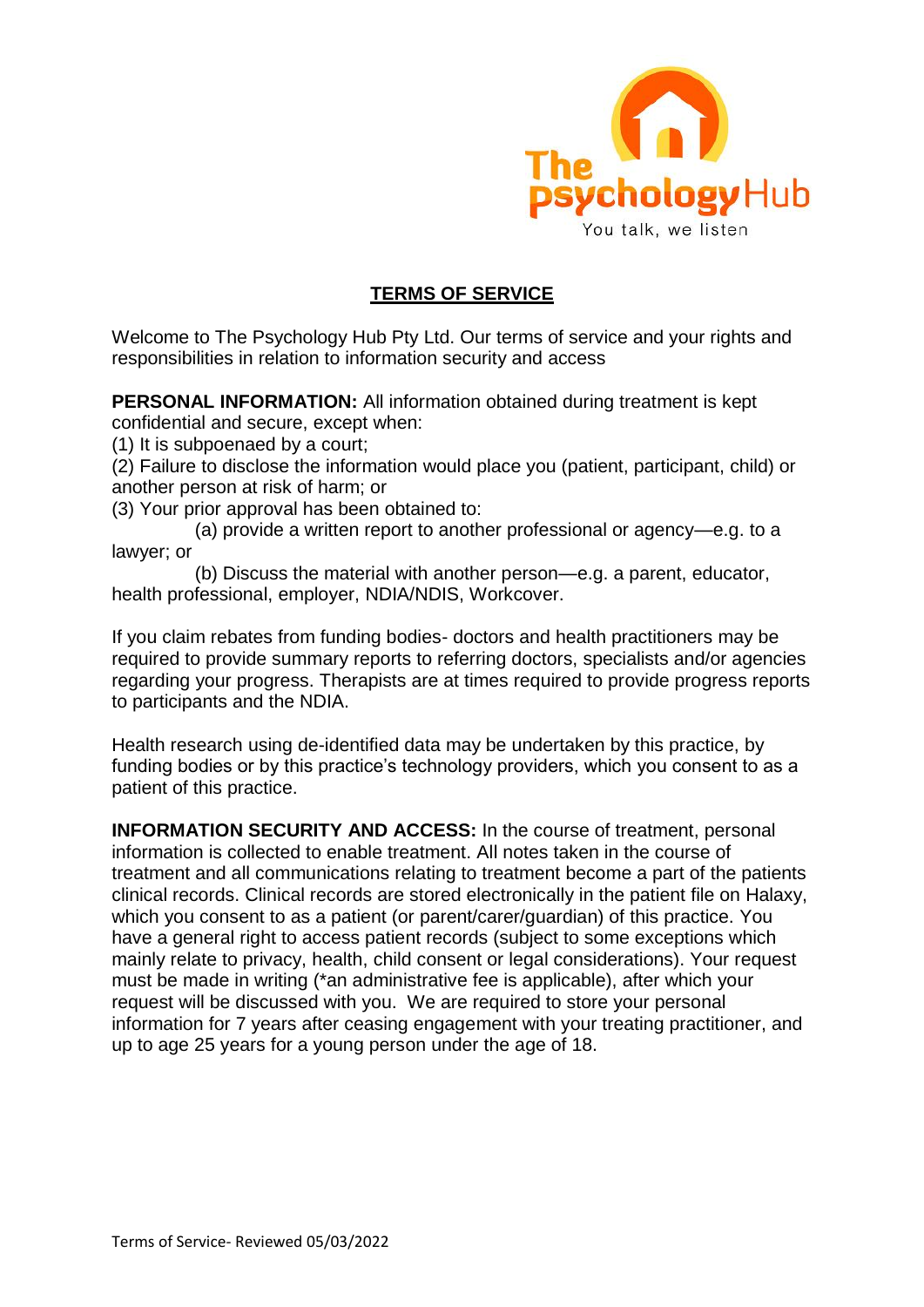

### **TERMS OF SERVICE**

Welcome to The Psychology Hub Pty Ltd. Our terms of service and your rights and responsibilities in relation to information security and access

**PERSONAL INFORMATION:** All information obtained during treatment is kept confidential and secure, except when:

(1) It is subpoenaed by a court;

(2) Failure to disclose the information would place you (patient, participant, child) or another person at risk of harm; or

(3) Your prior approval has been obtained to:

(a) provide a written report to another professional or agency—e.g. to a lawyer; or

(b) Discuss the material with another person—e.g. a parent, educator, health professional, employer, NDIA/NDIS, Workcover.

If you claim rebates from funding bodies- doctors and health practitioners may be required to provide summary reports to referring doctors, specialists and/or agencies regarding your progress. Therapists are at times required to provide progress reports to participants and the NDIA.

Health research using de-identified data may be undertaken by this practice, by funding bodies or by this practice's technology providers, which you consent to as a patient of this practice.

**INFORMATION SECURITY AND ACCESS:** In the course of treatment, personal information is collected to enable treatment. All notes taken in the course of treatment and all communications relating to treatment become a part of the patients clinical records. Clinical records are stored electronically in the patient file on Halaxy, which you consent to as a patient (or parent/carer/guardian) of this practice. You have a general right to access patient records (subject to some exceptions which mainly relate to privacy, health, child consent or legal considerations). Your request must be made in writing (\*an administrative fee is applicable), after which your request will be discussed with you. We are required to store your personal information for 7 years after ceasing engagement with your treating practitioner, and up to age 25 years for a young person under the age of 18.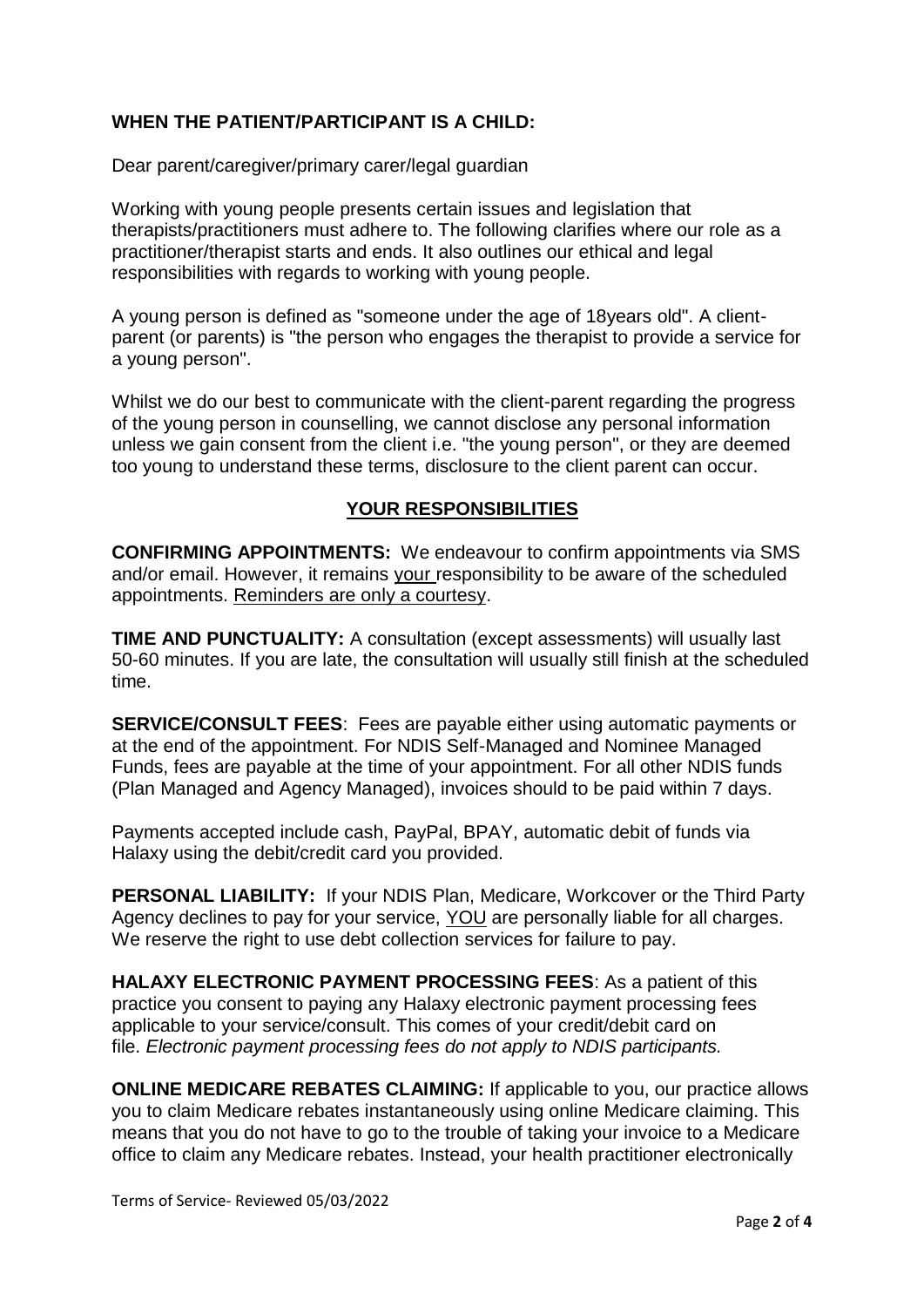# **WHEN THE PATIENT/PARTICIPANT IS A CHILD:**

Dear parent/caregiver/primary carer/legal guardian

Working with young people presents certain issues and legislation that therapists/practitioners must adhere to. The following clarifies where our role as a practitioner/therapist starts and ends. It also outlines our ethical and legal responsibilities with regards to working with young people.

A young person is defined as "someone under the age of 18years old". A clientparent (or parents) is "the person who engages the therapist to provide a service for a young person".

Whilst we do our best to communicate with the client-parent regarding the progress of the young person in counselling, we cannot disclose any personal information unless we gain consent from the client i.e. "the young person", or they are deemed too young to understand these terms, disclosure to the client parent can occur.

## **YOUR RESPONSIBILITIES**

**CONFIRMING APPOINTMENTS:** We endeavour to confirm appointments via SMS and/or email. However, it remains your responsibility to be aware of the scheduled appointments. Reminders are only a courtesy.

**TIME AND PUNCTUALITY:** A consultation (except assessments) will usually last 50-60 minutes. If you are late, the consultation will usually still finish at the scheduled time.

**SERVICE/CONSULT FEES**: Fees are payable either using automatic payments or at the end of the appointment. For NDIS Self-Managed and Nominee Managed Funds, fees are payable at the time of your appointment. For all other NDIS funds (Plan Managed and Agency Managed), invoices should to be paid within 7 days.

Payments accepted include cash, PayPal, BPAY, automatic debit of funds via Halaxy using the debit/credit card you provided.

**PERSONAL LIABILITY:** If your NDIS Plan, Medicare, Workcover or the Third Party Agency declines to pay for your service, YOU are personally liable for all charges. We reserve the right to use debt collection services for failure to pay.

**HALAXY ELECTRONIC PAYMENT PROCESSING FEES**: As a patient of this practice you consent to paying any Halaxy electronic payment processing fees applicable to your service/consult. This comes of your credit/debit card on file. *Electronic payment processing fees do not apply to NDIS participants.*

**ONLINE MEDICARE REBATES CLAIMING:** If applicable to you, our practice allows you to claim Medicare rebates instantaneously using online Medicare claiming. This means that you do not have to go to the trouble of taking your invoice to a Medicare office to claim any Medicare rebates. Instead, your health practitioner electronically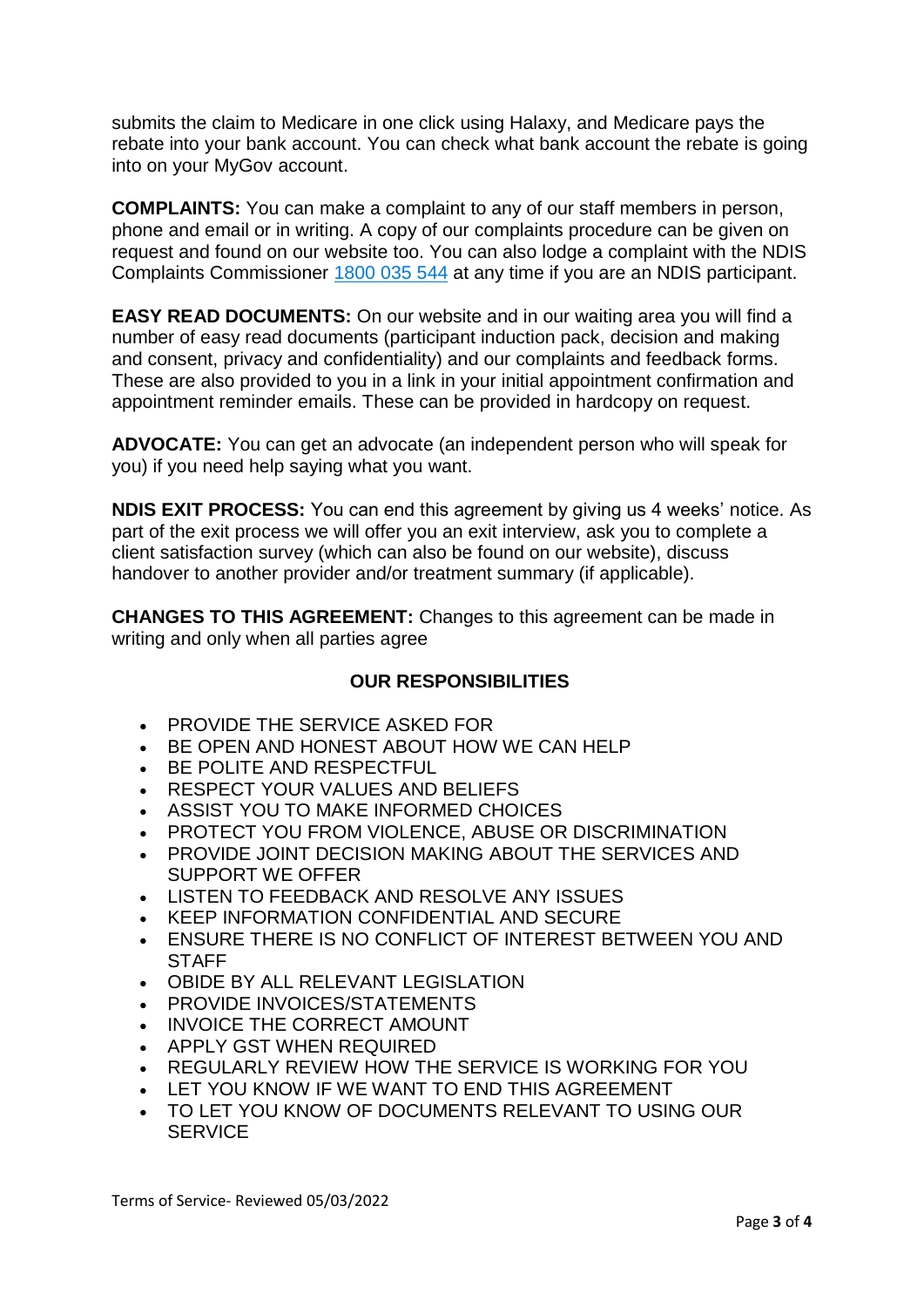submits the claim to Medicare in one click using Halaxy, and Medicare pays the rebate into your bank account. You can check what bank account the rebate is going into on your MyGov account.

**COMPLAINTS:** You can make a complaint to any of our staff members in person, phone and email or in writing. A copy of our complaints procedure can be given on request and found on our website too. You can also lodge a complaint with the NDIS Complaints Commissioner [1800 035 544](tel:18002003520544) at any time if you are an NDIS participant.

**EASY READ DOCUMENTS:** On our website and in our waiting area you will find a number of easy read documents (participant induction pack, decision and making and consent, privacy and confidentiality) and our complaints and feedback forms. These are also provided to you in a link in your initial appointment confirmation and appointment reminder emails. These can be provided in hardcopy on request.

**ADVOCATE:** You can get an advocate (an independent person who will speak for you) if you need help saying what you want.

**NDIS EXIT PROCESS:** You can end this agreement by giving us 4 weeks' notice. As part of the exit process we will offer you an exit interview, ask you to complete a client satisfaction survey (which can also be found on our website), discuss handover to another provider and/or treatment summary (if applicable).

**CHANGES TO THIS AGREEMENT:** Changes to this agreement can be made in writing and only when all parties agree

#### **OUR RESPONSIBILITIES**

- PROVIDE THE SERVICE ASKED FOR
- BE OPEN AND HONEST ABOUT HOW WE CAN HELP
- BE POLITE AND RESPECTFUL
- RESPECT YOUR VALUES AND BELIEFS
- ASSIST YOU TO MAKE INFORMED CHOICES
- PROTECT YOU FROM VIOLENCE, ABUSE OR DISCRIMINATION
- PROVIDE JOINT DECISION MAKING ABOUT THE SERVICES AND SUPPORT WE OFFER
- LISTEN TO FEEDBACK AND RESOLVE ANY ISSUES
- KEEP INFORMATION CONFIDENTIAL AND SECURE
- ENSURE THERE IS NO CONFLICT OF INTEREST BETWEEN YOU AND **STAFF**
- OBIDE BY ALL RELEVANT LEGISLATION
- PROVIDE INVOICES/STATEMENTS
- INVOICE THE CORRECT AMOUNT
- APPLY GST WHEN REQUIRED
- REGULARLY REVIEW HOW THE SERVICE IS WORKING FOR YOU
- LET YOU KNOW IF WE WANT TO END THIS AGREEMENT
- TO LET YOU KNOW OF DOCUMENTS RELEVANT TO USING OUR **SERVICE**